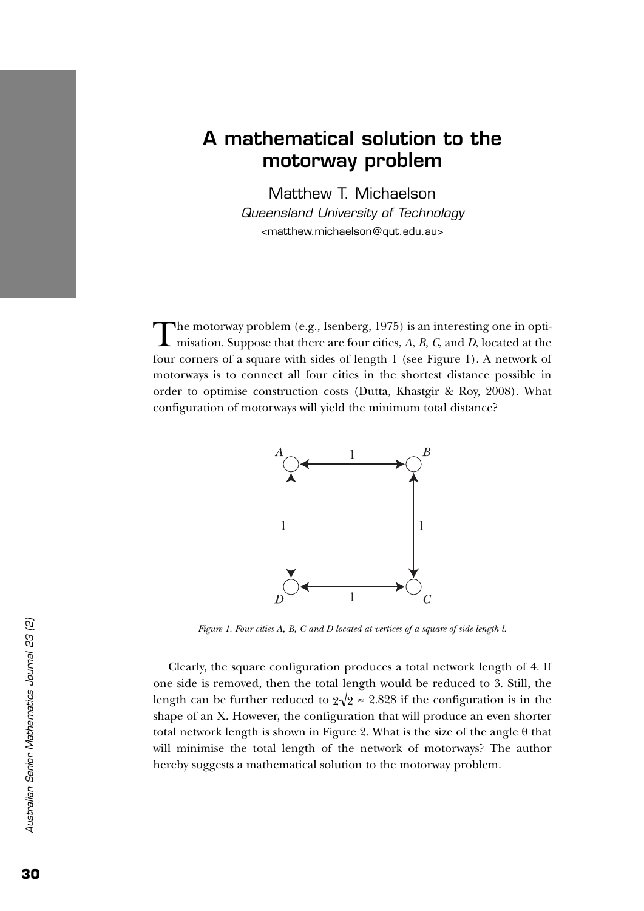## **A mathematical solution to the motorway problem**

Matthew T. Michaelson

Queensland University of Technology <matthew.michaelson@qut.edu.au>

The motorway problem (e.g., Isenberg, 1975) is an interesting one in opti-<br>misation. Suppose that there are four cities, *A*, *B*, *C*, and *D*, located at the four corners of a square with sides of length 1 (see Figure 1). A network of motorways is to connect all four cities in the shortest distance possible in order to optimise construction costs (Dutta, Khastgir & Roy, 2008). What configuration of motorways will yield the minimum total distance?



*Figure 1. Four cities A, B, C and D located at vertices of a square of side length l.*

Clearly, the square configuration produces a total network length of 4. If one side is removed, then the total length would be reduced to 3. Still, the length can be further reduced to  $2\sqrt{2} \approx 2.828$  if the configuration is in the shape of an X. However, the configuration that will produce an even shorter total network length is shown in Figure 2. What is the size of the angle θ that will minimise the total length of the network of motorways? The author hereby suggests a mathematical solution to the motorway problem.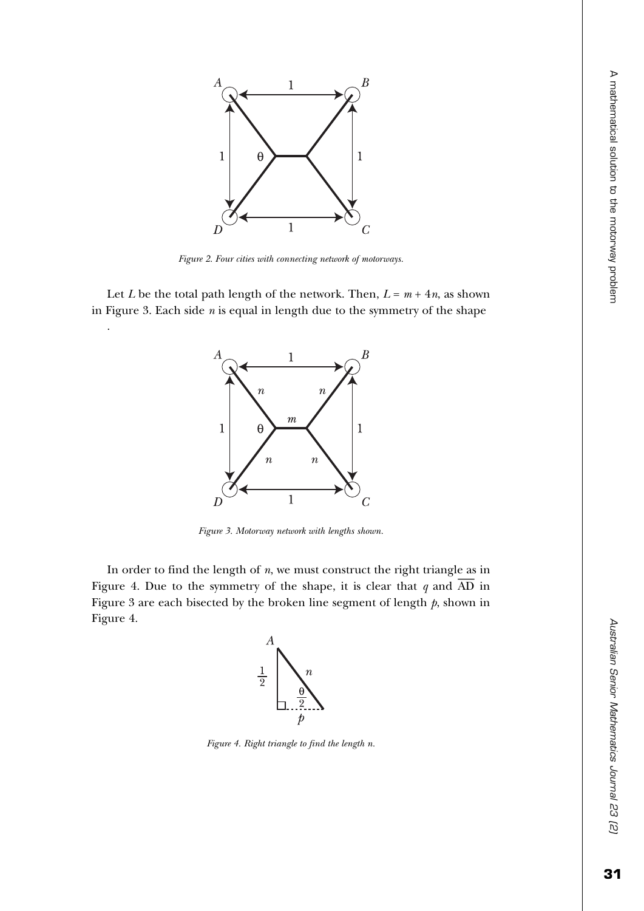

*Figure 2. Four cities with connecting network of motorways.*

Let *L* be the total path length of the network. Then,  $L = m + 4n$ , as shown in Figure 3. Each side *n* is equal in length due to the symmetry of the shape

.



*Figure 3. Motorway network with lengths shown.*

In order to find the length of *n*, we must construct the right triangle as in Figure 4. Due to the symmetry of the shape, it is clear that  $q$  and  $\overline{AD}$  in Figure 3 are each bisected by the broken line segment of length *p*, shown in Figure 4.



*Figure 4. Right triangle to find the length n.*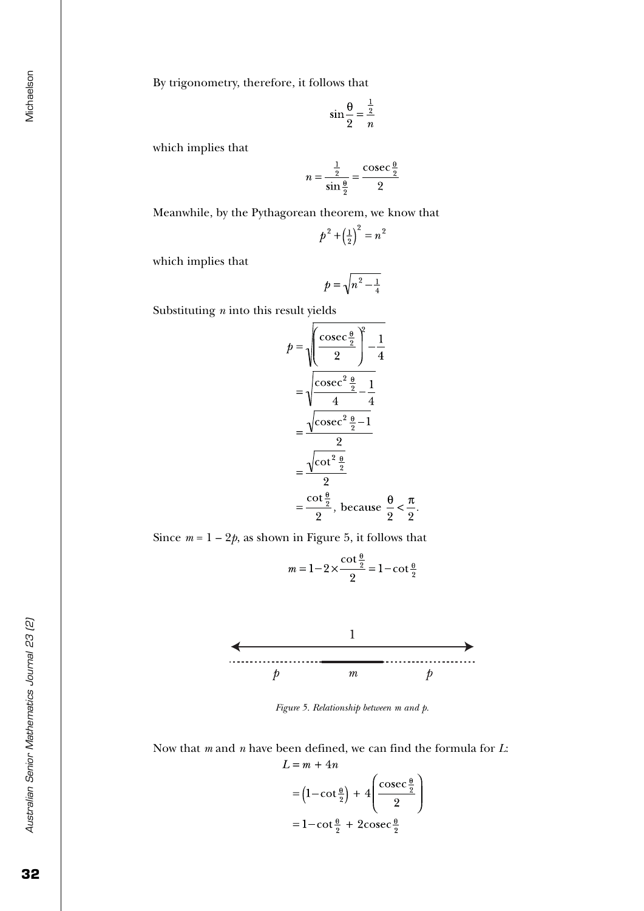Michaelson

By trigonometry, therefore, it follows that

$$
\sin\frac{\theta}{2} = \frac{\frac{1}{2}}{n}
$$

which implies that

$$
n = \frac{\frac{1}{2}}{\sin{\frac{\theta}{2}}} = \frac{\csc{\frac{\theta}{2}}}{2}
$$

Meanwhile, by the Pythagorean theorem, we know that

$$
p^2 + \left(\frac{1}{2}\right)^2 = n^2
$$

which implies that

$$
p = \sqrt{n^2 - \frac{1}{4}}
$$

Substituting *n* into this result yields

$$
p = \sqrt{\frac{\csc \frac{\theta}{2}}{2} - \frac{1}{4}}
$$
  
=  $\sqrt{\frac{\csc^2 \frac{\theta}{2}}{4} - \frac{1}{4}}$   
=  $\frac{\sqrt{\csc^2 \frac{\theta}{2}} - 1}{2}$   
=  $\frac{\sqrt{\cot^2 \frac{\theta}{2}}}{2}$   
=  $\frac{\cot \frac{\theta}{2}}{2}$ , because  $\frac{\theta}{2} < \frac{\pi}{2}$ .

Since  $m = 1 - 2p$ , as shown in Figure 5, it follows that

$$
m = 1 - 2 \times \frac{\cot \frac{\theta}{2}}{2} = 1 - \cot \frac{\theta}{2}
$$



*Figure 5. Relationship between m and p.*

Now that *m* and *n* have been defined, we can find the formula for *L*:  $L = m + 4n$ 

$$
= \left(1 - \cot\frac{\theta}{2}\right) + 4\left(\frac{\csc\frac{\theta}{2}}{2}\right)
$$

$$
= 1 - \cot\frac{\theta}{2} + 2\csc\frac{\theta}{2}
$$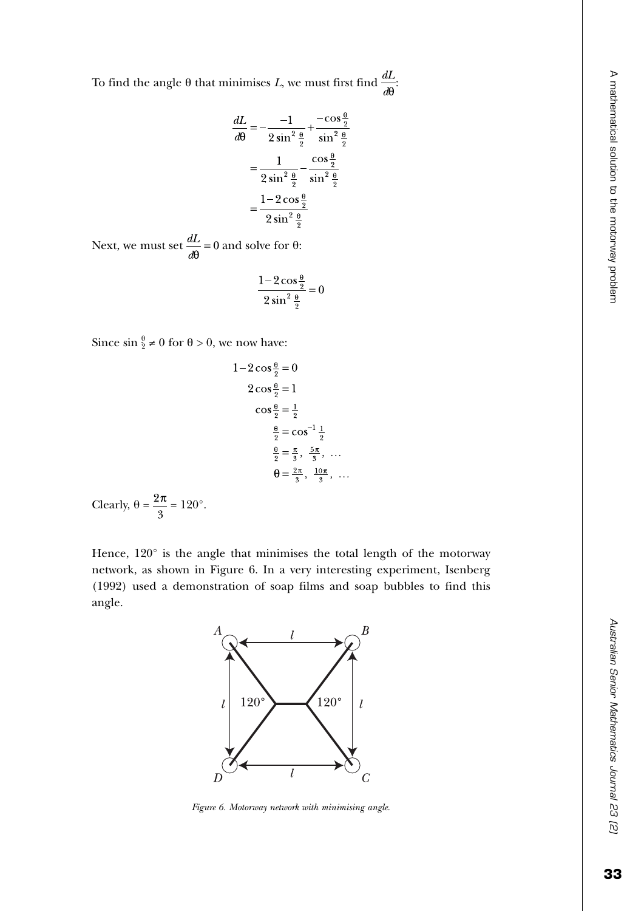To find the angle θ that minimises *L*, we must first find  $\frac{dL}{dθ}$ .

$$
\frac{dL}{d\theta} = -\frac{-1}{2\sin^2\frac{\theta}{2}} + \frac{-\cos\frac{\theta}{2}}{\sin^2\frac{\theta}{2}}
$$

$$
= \frac{1}{2\sin^2\frac{\theta}{2}} - \frac{\cos\frac{\theta}{2}}{\sin^2\frac{\theta}{2}}
$$

$$
= \frac{1 - 2\cos\frac{\theta}{2}}{2\sin^2\frac{\theta}{2}}
$$

Next, we must set  $\frac{dL}{d\theta} = 0$  and solve for  $\theta$ :

$$
\frac{1-2\cos\frac{\theta}{2}}{2\sin^2\frac{\theta}{2}}=0
$$

Since  $\sin \frac{\theta}{2} \neq 0$  for  $\theta > 0$ , we now have:

$$
1-2\cos\frac{\theta}{2} = 0
$$
  

$$
2\cos\frac{\theta}{2} = 1
$$
  

$$
\cos\frac{\theta}{2} = \frac{1}{2}
$$
  

$$
\frac{\theta}{2} = \cos^{-1}\frac{1}{2}
$$
  

$$
\frac{\theta}{2} = \frac{\pi}{3}, \frac{5\pi}{3}, ...
$$
  

$$
\theta = \frac{2\pi}{3} = 120^{\circ}.
$$

Clearly, 
$$
\theta = \frac{2\pi}{3} = 120^{\circ}
$$
.

Hence, 120° is the angle that minimises the total length of the motorway network, as shown in Figure 6. In a very interesting experiment, Isenberg (1992) used a demonstration of soap films and soap bubbles to find this angle.



*Figure 6. Motorway network with minimising angle.*